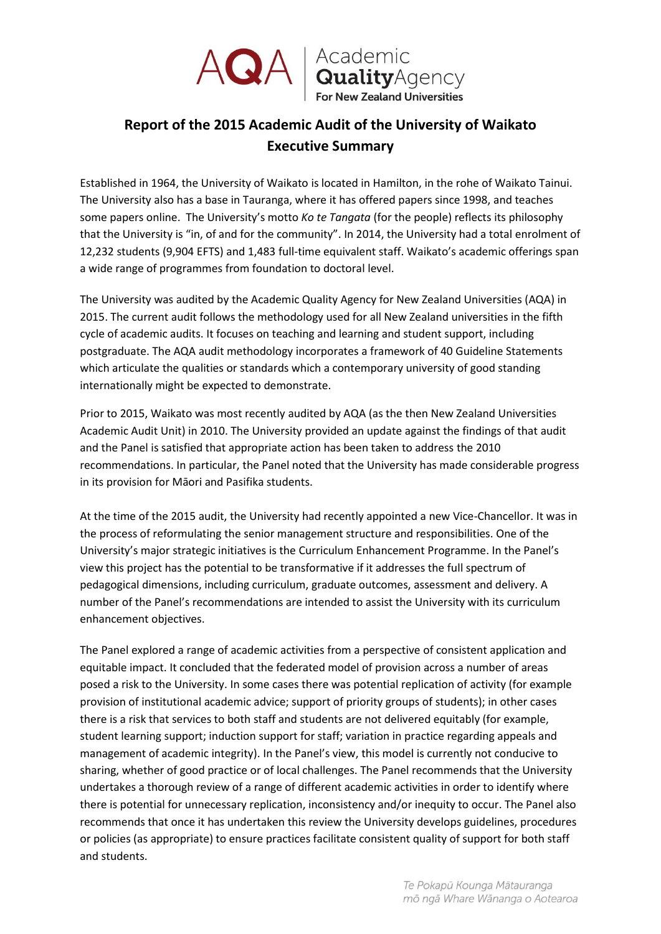

ACA | Academic<br>
For New Zealand Universities

## **Report of the 2015 Academic Audit of the University of Waikato Executive Summary**

Established in 1964, the University of Waikato is located in Hamilton, in the rohe of Waikato Tainui. The University also has a base in Tauranga, where it has offered papers since 1998, and teaches some papers online. The University's motto *Ko te Tangata* (for the people) reflects its philosophy that the University is "in, of and for the community". In 2014, the University had a total enrolment of 12,232 students (9,904 EFTS) and 1,483 full-time equivalent staff. Waikato's academic offerings span a wide range of programmes from foundation to doctoral level.

The University was audited by the Academic Quality Agency for New Zealand Universities (AQA) in 2015. The current audit follows the methodology used for all New Zealand universities in the fifth cycle of academic audits. It focuses on teaching and learning and student support, including postgraduate. The AQA audit methodology incorporates a framework of 40 Guideline Statements which articulate the qualities or standards which a contemporary university of good standing internationally might be expected to demonstrate.

Prior to 2015, Waikato was most recently audited by AQA (as the then New Zealand Universities Academic Audit Unit) in 2010. The University provided an update against the findings of that audit and the Panel is satisfied that appropriate action has been taken to address the 2010 recommendations. In particular, the Panel noted that the University has made considerable progress in its provision for Māori and Pasifika students.

At the time of the 2015 audit, the University had recently appointed a new Vice-Chancellor. It was in the process of reformulating the senior management structure and responsibilities. One of the University's major strategic initiatives is the Curriculum Enhancement Programme. In the Panel's view this project has the potential to be transformative if it addresses the full spectrum of pedagogical dimensions, including curriculum, graduate outcomes, assessment and delivery. A number of the Panel's recommendations are intended to assist the University with its curriculum enhancement objectives.

The Panel explored a range of academic activities from a perspective of consistent application and equitable impact. It concluded that the federated model of provision across a number of areas posed a risk to the University. In some cases there was potential replication of activity (for example provision of institutional academic advice; support of priority groups of students); in other cases there is a risk that services to both staff and students are not delivered equitably (for example, student learning support; induction support for staff; variation in practice regarding appeals and management of academic integrity). In the Panel's view, this model is currently not conducive to sharing, whether of good practice or of local challenges. The Panel recommends that the University undertakes a thorough review of a range of different academic activities in order to identify where there is potential for unnecessary replication, inconsistency and/or inequity to occur. The Panel also recommends that once it has undertaken this review the University develops guidelines, procedures or policies (as appropriate) to ensure practices facilitate consistent quality of support for both staff and students.